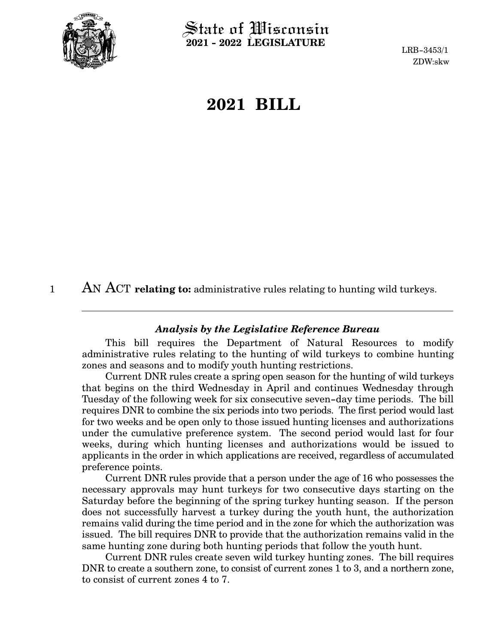

 $\operatorname{\mathsf{State}}$  of Wisconsin **2021 - 2022 LEGISLATURE**

LRB-3453/1 ZDW:skw

# **2021 BILL**

AN ACT **relating to:** administrative rules relating to hunting wild turkeys. 1

#### *Analysis by the Legislative Reference Bureau*

This bill requires the Department of Natural Resources to modify administrative rules relating to the hunting of wild turkeys to combine hunting zones and seasons and to modify youth hunting restrictions.

Current DNR rules create a spring open season for the hunting of wild turkeys that begins on the third Wednesday in April and continues Wednesday through Tuesday of the following week for six consecutive seven-day time periods. The bill requires DNR to combine the six periods into two periods. The first period would last for two weeks and be open only to those issued hunting licenses and authorizations under the cumulative preference system. The second period would last for four weeks, during which hunting licenses and authorizations would be issued to applicants in the order in which applications are received, regardless of accumulated preference points.

Current DNR rules provide that a person under the age of 16 who possesses the necessary approvals may hunt turkeys for two consecutive days starting on the Saturday before the beginning of the spring turkey hunting season. If the person does not successfully harvest a turkey during the youth hunt, the authorization remains valid during the time period and in the zone for which the authorization was issued. The bill requires DNR to provide that the authorization remains valid in the same hunting zone during both hunting periods that follow the youth hunt.

Current DNR rules create seven wild turkey hunting zones. The bill requires DNR to create a southern zone, to consist of current zones 1 to 3, and a northern zone, to consist of current zones 4 to 7.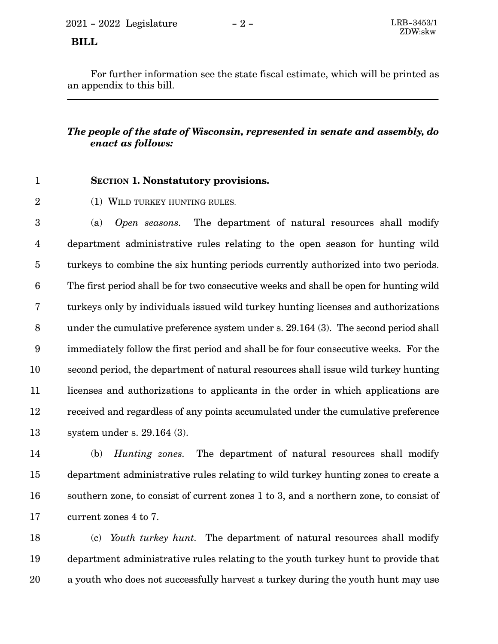#### **BILL**

For further information see the state fiscal estimate, which will be printed as an appendix to this bill.

## *The people of the state of Wisconsin, represented in senate and assembly, do enact as follows:*

1

### **SECTION 1. Nonstatutory provisions.**

(1) WILD TURKEY HUNTING RULES. 2

(a) *Open seasons.* The department of natural resources shall modify department administrative rules relating to the open season for hunting wild turkeys to combine the six hunting periods currently authorized into two periods. The first period shall be for two consecutive weeks and shall be open for hunting wild turkeys only by individuals issued wild turkey hunting licenses and authorizations under the cumulative preference system under s. 29.164 (3). The second period shall immediately follow the first period and shall be for four consecutive weeks. For the second period, the department of natural resources shall issue wild turkey hunting licenses and authorizations to applicants in the order in which applications are received and regardless of any points accumulated under the cumulative preference system under s. 29.164 (3). 3 4 5 6 7 8 9 10 11 12 13

(b) *Hunting zones.* The department of natural resources shall modify department administrative rules relating to wild turkey hunting zones to create a southern zone, to consist of current zones 1 to 3, and a northern zone, to consist of current zones 4 to 7. 14 15 16 17

(c) *Youth turkey hunt.* The department of natural resources shall modify department administrative rules relating to the youth turkey hunt to provide that a youth who does not successfully harvest a turkey during the youth hunt may use 18 19 20